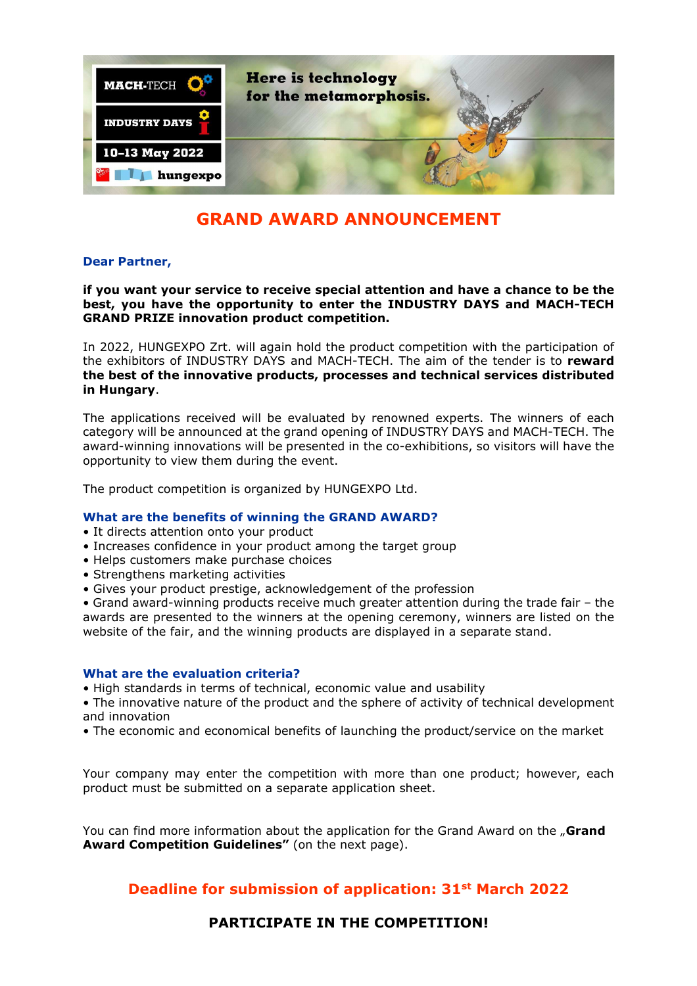

# **GRAND AWARD ANNOUNCEMENT**

## **Dear Partner,**

**if you want your service to receive special attention and have a chance to be the best, you have the opportunity to enter the INDUSTRY DAYS and MACH-TECH GRAND PRIZE innovation product competition.** 

In 2022, HUNGEXPO Zrt. will again hold the product competition with the participation of the exhibitors of INDUSTRY DAYS and MACH-TECH. The aim of the tender is to **reward the best of the innovative products, processes and technical services distributed in Hungary**.

The applications received will be evaluated by renowned experts. The winners of each category will be announced at the grand opening of INDUSTRY DAYS and MACH-TECH. The award-winning innovations will be presented in the co-exhibitions, so visitors will have the opportunity to view them during the event.

The product competition is organized by HUNGEXPO Ltd.

## **What are the benefits of winning the GRAND AWARD?**

- It directs attention onto your product
- Increases confidence in your product among the target group
- Helps customers make purchase choices
- Strengthens marketing activities
- Gives your product prestige, acknowledgement of the profession

• Grand award-winning products receive much greater attention during the trade fair – the awards are presented to the winners at the opening ceremony, winners are listed on the website of the fair, and the winning products are displayed in a separate stand.

## **What are the evaluation criteria?**

• High standards in terms of technical, economic value and usability

• The innovative nature of the product and the sphere of activity of technical development and innovation

• The economic and economical benefits of launching the product/service on the market

Your company may enter the competition with more than one product; however, each product must be submitted on a separate application sheet.

You can find more information about the application for the Grand Award on the "Grand **Award Competition Guidelines"** (on the next page).

## **Deadline for submission of application: 31st March 2022**

**PARTICIPATE IN THE COMPETITION!**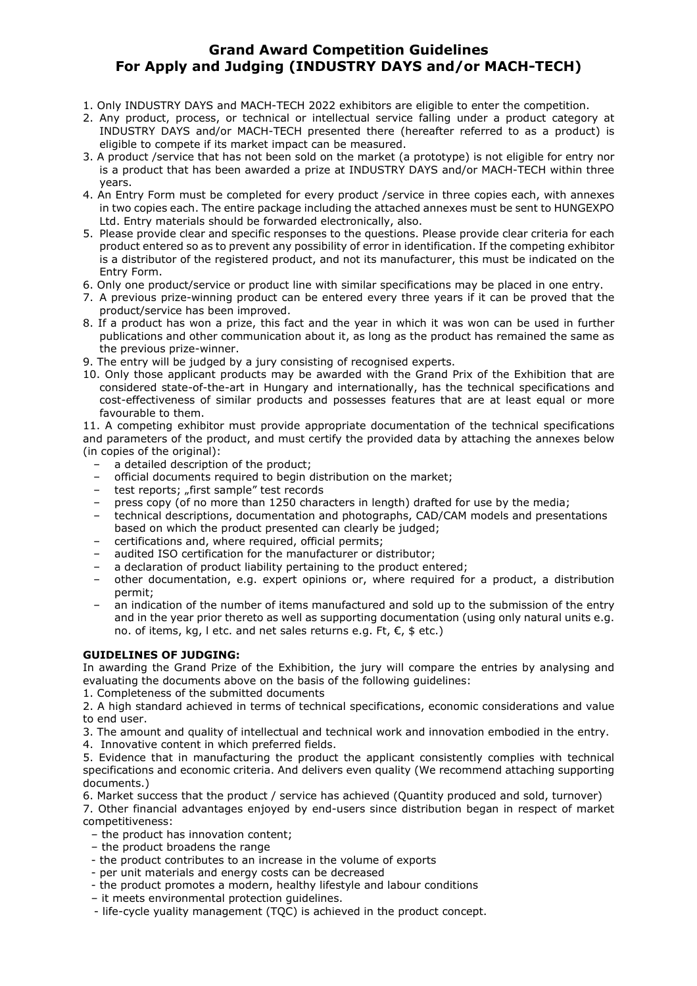## **Grand Award Competition Guidelines For Apply and Judging (INDUSTRY DAYS and/or MACH-TECH)**

- 1. Only INDUSTRY DAYS and MACH-TECH 2022 exhibitors are eligible to enter the competition.
- 2. Any product, process, or technical or intellectual service falling under a product category at INDUSTRY DAYS and/or MACH-TECH presented there (hereafter referred to as a product) is eligible to compete if its market impact can be measured.
- 3. A product /service that has not been sold on the market (a prototype) is not eligible for entry nor is a product that has been awarded a prize at INDUSTRY DAYS and/or MACH-TECH within three years.
- 4. An Entry Form must be completed for every product /service in three copies each, with annexes in two copies each. The entire package including the attached annexes must be sent to HUNGEXPO Ltd. Entry materials should be forwarded electronically, also.
- 5. Please provide clear and specific responses to the questions. Please provide clear criteria for each product entered so as to prevent any possibility of error in identification. If the competing exhibitor is a distributor of the registered product, and not its manufacturer, this must be indicated on the Entry Form.
- 6. Only one product/service or product line with similar specifications may be placed in one entry.
- 7. A previous prize-winning product can be entered every three years if it can be proved that the product/service has been improved.
- 8. If a product has won a prize, this fact and the year in which it was won can be used in further publications and other communication about it, as long as the product has remained the same as the previous prize-winner.
- 9. The entry will be judged by a jury consisting of recognised experts.
- 10. Only those applicant products may be awarded with the Grand Prix of the Exhibition that are considered state-of-the-art in Hungary and internationally, has the technical specifications and cost-effectiveness of similar products and possesses features that are at least equal or more favourable to them.

11. A competing exhibitor must provide appropriate documentation of the technical specifications and parameters of the product, and must certify the provided data by attaching the annexes below (in copies of the original):

- a detailed description of the product;
- official documents required to begin distribution on the market;
- test reports; "first sample" test records
- press copy (of no more than 1250 characters in length) drafted for use by the media;
- technical descriptions, documentation and photographs, CAD/CAM models and presentations based on which the product presented can clearly be judged;
- certifications and, where required, official permits;
- audited ISO certification for the manufacturer or distributor;
- a declaration of product liability pertaining to the product entered;
- other documentation, e.g. expert opinions or, where required for a product, a distribution permit;
- an indication of the number of items manufactured and sold up to the submission of the entry and in the year prior thereto as well as supporting documentation (using only natural units e.g. no. of items, kg, l etc. and net sales returns e.g. Ft, €, \$ etc.)

## **GUIDELINES OF JUDGING:**

In awarding the Grand Prize of the Exhibition, the jury will compare the entries by analysing and evaluating the documents above on the basis of the following guidelines:

1. Completeness of the submitted documents

2. A high standard achieved in terms of technical specifications, economic considerations and value to end user.

- 3. The amount and quality of intellectual and technical work and innovation embodied in the entry.
- 4. Innovative content in which preferred fields.

5. Evidence that in manufacturing the product the applicant consistently complies with technical specifications and economic criteria. And delivers even quality (We recommend attaching supporting documents.)

6. Market success that the product / service has achieved (Quantity produced and sold, turnover)

7. Other financial advantages enjoyed by end-users since distribution began in respect of market competitiveness:

- the product has innovation content;
- the product broadens the range
- the product contributes to an increase in the volume of exports
- per unit materials and energy costs can be decreased
- the product promotes a modern, healthy lifestyle and labour conditions
- it meets environmental protection guidelines.
- life-cycle yuality management (TQC) is achieved in the product concept.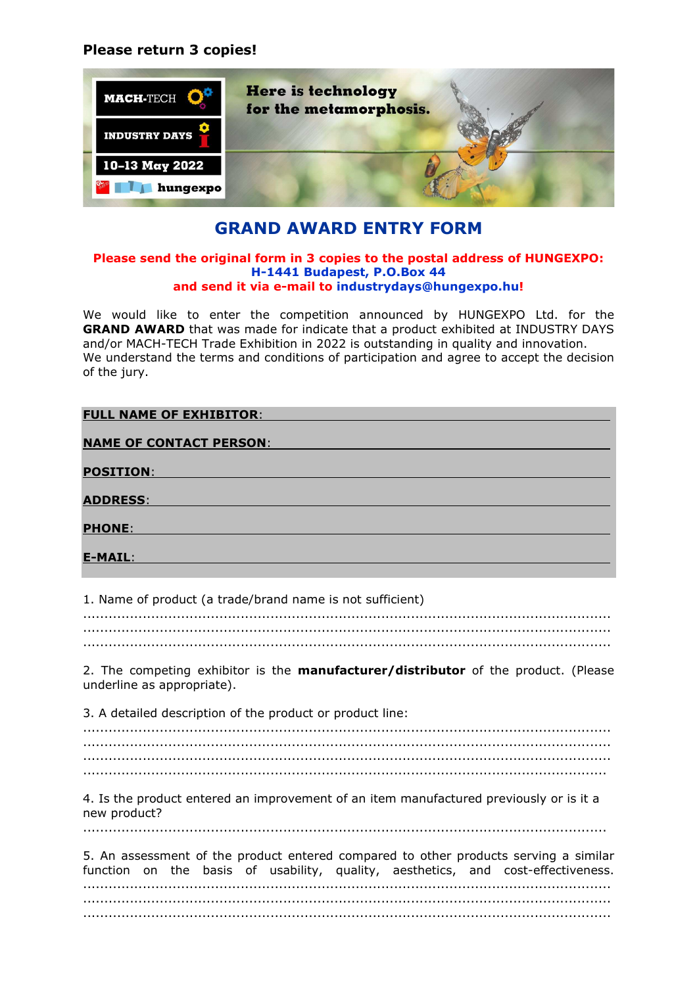## **Please return 3 copies!**



## **GRAND AWARD ENTRY FORM**

#### **Please send the original form in 3 copies to the postal address of HUNGEXPO: H-1441 Budapest, P.O.Box 44 and send it via e-mail to industrydays@hungexpo.hu!**

We would like to enter the competition announced by HUNGEXPO Ltd. for the **GRAND AWARD** that was made for indicate that a product exhibited at INDUSTRY DAYS and/or MACH-TECH Trade Exhibition in 2022 is outstanding in quality and innovation. We understand the terms and conditions of participation and agree to accept the decision of the jury.

| <b>FULL NAME OF EXHIBITOR:</b> |
|--------------------------------|
| <b>NAME OF CONTACT PERSON:</b> |
| <b>POSITION:</b>               |
| <b>ADDRESS:</b>                |
| <b>PHONE:</b>                  |
|                                |
| E-MAIL:                        |

1. Name of product (a trade/brand name is not sufficient)

............................................................................................................................ ............................................................................................................................

2. The competing exhibitor is the **manufacturer/distributor** of the product. (Please underline as appropriate).

3. A detailed description of the product or product line:

............................................................................................................................ ............................................................................................................................

4. Is the product entered an improvement of an item manufactured previously or is it a new product? ...........................................................................................................................

|  |  |  |  |  | 5. An assessment of the product entered compared to other products serving a similar |  |
|--|--|--|--|--|--------------------------------------------------------------------------------------|--|
|  |  |  |  |  | function on the basis of usability, quality, aesthetics, and cost-effectiveness.     |  |
|  |  |  |  |  |                                                                                      |  |
|  |  |  |  |  |                                                                                      |  |
|  |  |  |  |  |                                                                                      |  |